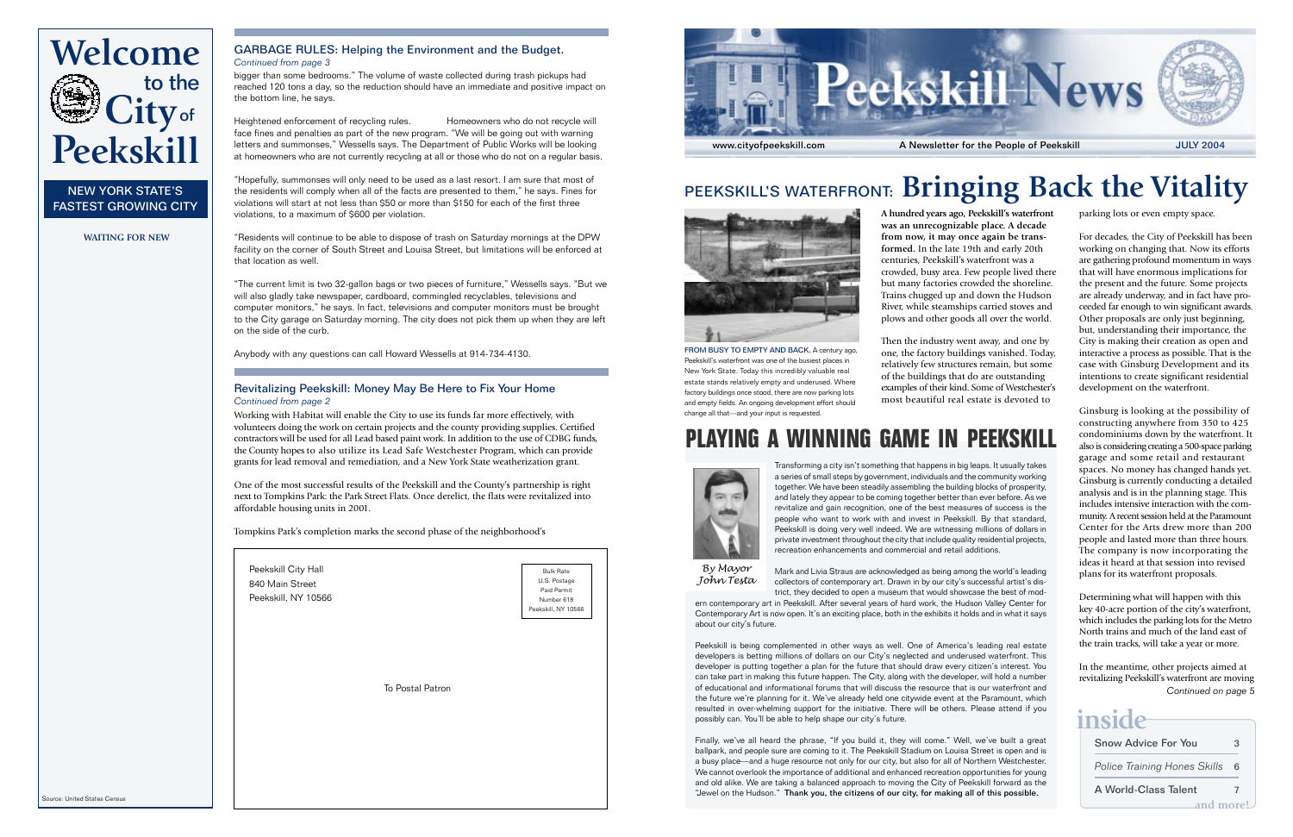

## PEEKSKILL'S WATERFRONT: **Bringing Back the Vitality**



FROM BUSY TO EMPTY AND BACK. A century ago, Peekskill's waterfront was one of the busiest places in New York State. Today this incredibly valuable real estate stands relatively empty and underused. Where factory buildings once stood, there are now parking lots and empty fields. An ongoing development effort should change all that—and your input is requested.

**A hundred years ago, Peekskill's waterfront was an unrecognizable place. A decade from now, it may once again be transformed.** In the late 19th and early 20th centuries, Peekskill's waterfront was a crowded, busy area. Few people lived there but many factories crowded the shoreline. Trains chugged up and down the Hudson River, while steamships carried stoves and plows and other goods all over the world.

Then the industry went away, and one by one, the factory buildings vanished. Today, relatively few structures remain, but some of the buildings that do are outstanding examples of their kind. Some of Westchester's most beautiful real estate is devoted to

### **PLAYING A WINNING GAME IN PEEKSKILL**



Transforming a city isn't something that happens in big leaps. It usually takes a series of small steps by government, individuals and the community working together. We have been steadily assembling the building blocks of prosperity, and lately they appear to be coming together better than ever before. As we revitalize and gain recognition, one of the best measures of success is the people who want to work with and invest in Peekskill. By that standard, Peekskill is doing very well indeed. We are witnessing millions of dollars in private investment throughout the city that include quality residential projects, recreation enhancements and commercial and retail additions.

*By Mayor John Testa*

Mark and Livia Straus are acknowledged as being among the world's leading collectors of contemporary art. Drawn in by our city's successful artist's district, they decided to open a museum that would showcase the best of mod-

ern contemporary art in Peekskill. After several years of hard work, the Hudson Valley Center for Contemporary Art is now open. It's an exciting place, both in the exhibits it holds and in what it says about our city's future.

Peekskill is being complemented in other ways as well. One of America's leading real estate developers is betting millions of dollars on our City's neglected and underused waterfront. This developer is putting together a plan for the future that should draw every citizen's interest. You can take part in making this future happen. The City, along with the developer, will hold a number of educational and informational forums that will discuss the resource that is our waterfront and the future we're planning for it. We've already held one citywide event at the Paramount, which resulted in over-whelming support for the initiative. There will be others. Please attend if you possibly can. You'll be able to help shape our city's future.

Finally, we've all heard the phrase, "If you build it, they will come." Well, we've built a great ballpark, and people sure are coming to it. The Peekskill Stadium on Louisa Street is open and is a busy place—and a huge resource not only for our city, but also for all of Northern Westchester. We cannot overlook the importance of additional and enhanced recreation opportunities for young and old alike. We are taking a balanced approach to moving the City of Peekskill forward as the "Jewel on the Hudson." Thank you, the citizens of our city, for making all of this possible.

parking lots or even empty space.

For decades, the City of Peekskill has been working on changing that. Now its efforts are gathering profound momentum in ways that will have enormous implications for the present and the future. Some projects are already underway, and in fact have proceeded far enough to win significant awards. Other proposals are only just beginning, but, understanding their importance, the City is making their creation as open and interactive a process as possible. That is the case with Ginsburg Development and its intentions to create significant residential development on the waterfront.

Ginsburg is looking at the possibility of constructing anywhere from 350 to 425 condominiums down by the waterfront. It also is considering creating a 500-space parking garage and some retail and restaurant spaces. No money has changed hands yet. Ginsburg is currently conducting a detailed analysis and is in the planning stage. This includes intensive interaction with the community. A recent session held at the Paramount Center for the Arts drew more than 200 people and lasted more than three hours. The company is now incorporating the ideas it heard at that session into revised plans for its waterfront proposals.

Determining what will happen with this key 40-acre portion of the city's waterfront, which includes the parking lots for the Metro North trains and much of the land east of the train tracks, will take a year or more.

In the meantime, other projects aimed at revitalizing Peekskill's waterfront are moving *Continued on page 5*

## **inside**

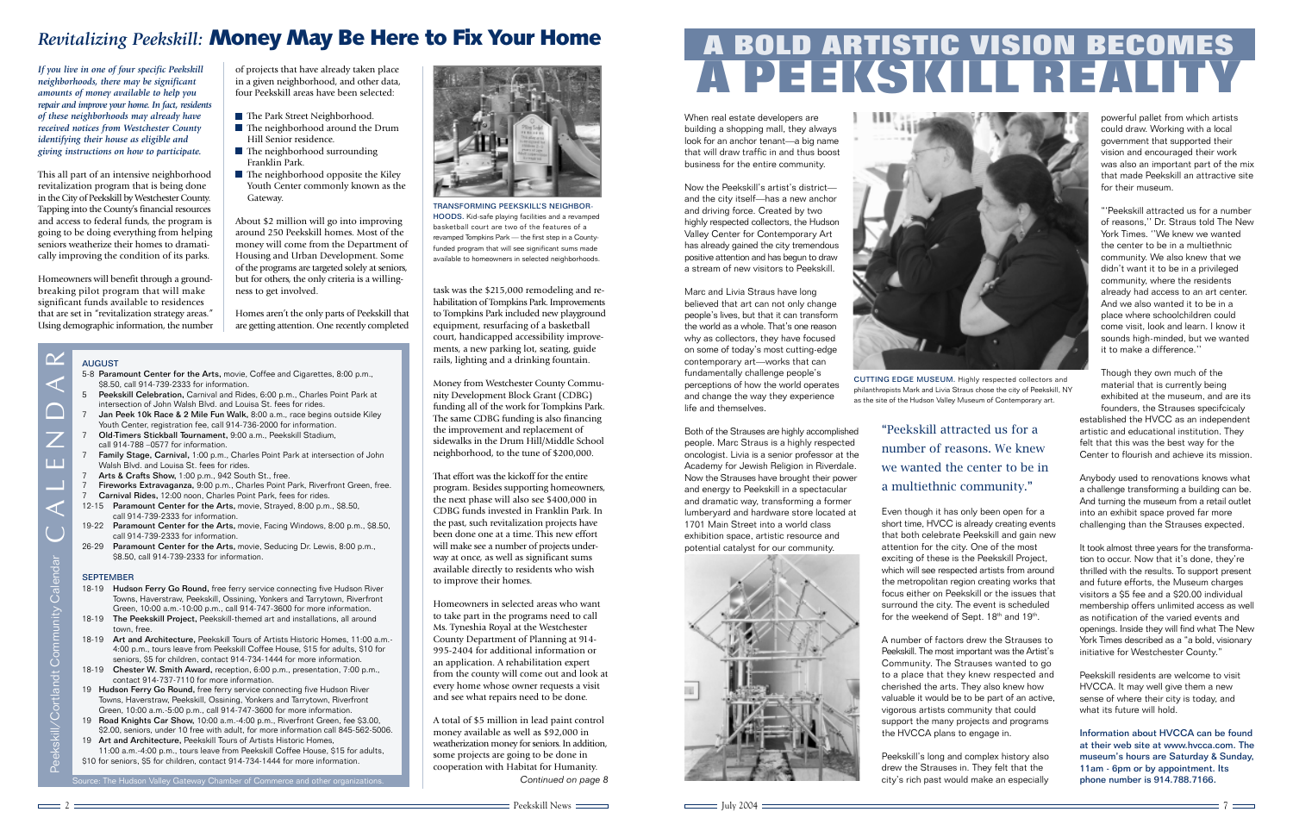# **A PEEKSKILL REALITY A BOLD ARTISTIC VISION BECOMES**

When real estate developers are building a shopping mall, they always look for an anchor tenant—a big name that will draw traffic in and thus boost business for the entire community.

Now the Peekskill's artist's district and the city itself—has a new anchor and driving force. Created by two highly respected collectors, the Hudson Valley Center for Contemporary Art has already gained the city tremendous positive attention and has begun to draw a stream of new visitors to Peekskill.

Marc and Livia Straus have long believed that art can not only change people's lives, but that it can transform the world as a whole. That's one reason why as collectors, they have focused on some of today's most cutting-edge contemporary art—works that can fundamentally challenge people's perceptions of how the world operates and change the way they experience life and themselves.

Both of the Strauses are highly accomplished people. Marc Straus is a highly respected oncologist. Livia is a senior professor at the Academy for Jewish Religion in Riverdale. Now the Strauses have brought their power and energy to Peekskill in a spectacular and dramatic way, transforming a former lumberyard and hardware store located at 1701 Main Street into a world class exhibition space, artistic resource and potential catalyst for our community.





CUTTING EDGE MUSEUM. Highly respected collectors and philanthropists Mark and Livia Straus chose the city of Peekskill, NY as the site of the Hudson Valley Museum of Contemporary art.

"Peekskill attracted us for a number of reasons. We knew we wanted the center to be in a multiethnic community."

Even though it has only been open for a short time, HVCC is already creating events that both celebrate Peekskill and gain new attention for the city. One of the most exciting of these is the Peekskill Project, which will see respected artists from around the metropolitan region creating works that focus either on Peekskill or the issues that surround the city. The event is scheduled for the weekend of Sept. 18th and 19th.

A number of factors drew the Strauses to Peekskill. The most important was the Artist's Community. The Strauses wanted to go to a place that they knew respected and cherished the arts. They also knew how valuable it would be to be part of an active, vigorous artists community that could support the many projects and programs the HVCCA plans to engage in.

Peekskill's long and complex history also drew the Strauses in. They felt that the city's rich past would make an especially

powerful pallet from which artists could draw. Working with a local government that supported their vision and encouraged their work was also an important part of the mix that made Peekskill an attractive site for their museum.

"'Peekskill attracted us for a number of reasons,'' Dr. Straus told The New York Times. ''We knew we wanted the center to be in a multiethnic community. We also knew that we didn't want it to be in a privileged community, where the residents already had access to an art center. And we also wanted it to be in a place where schoolchildren could come visit, look and learn. I know it sounds high-minded, but we wanted it to make a difference.''

Though they own much of the material that is currently being exhibited at the museum, and are its founders, the Strauses specifcicaly established the HVCC as an independent artistic and educational institution. They felt that this was the best way for the Center to flourish and achieve its mission.

Anybody used to renovations knows what a challenge transforming a building can be. And turning the museum from a retail outlet into an exhibit space proved far more challenging than the Strauses expected.

It took almost three years for the transformation to occur. Now that it's done, they're thrilled with the results. To support present and future efforts, the Museum charges visitors a \$5 fee and a \$20.00 individual membership offers unlimited access as well as notification of the varied events and openings. Inside they will find what The New York Times described as a "a bold, visionary initiative for Westchester County."

Peekskill residents are welcome to visit HVCCA. It may well give them a new sense of where their city is today, and what its future will hold.

Information about HVCCA can be found at their web site at www.hvcca.com. The museum's hours are Saturday & Sunday, 11am - 6pm or by appointment. Its phone number is 914.788.7166.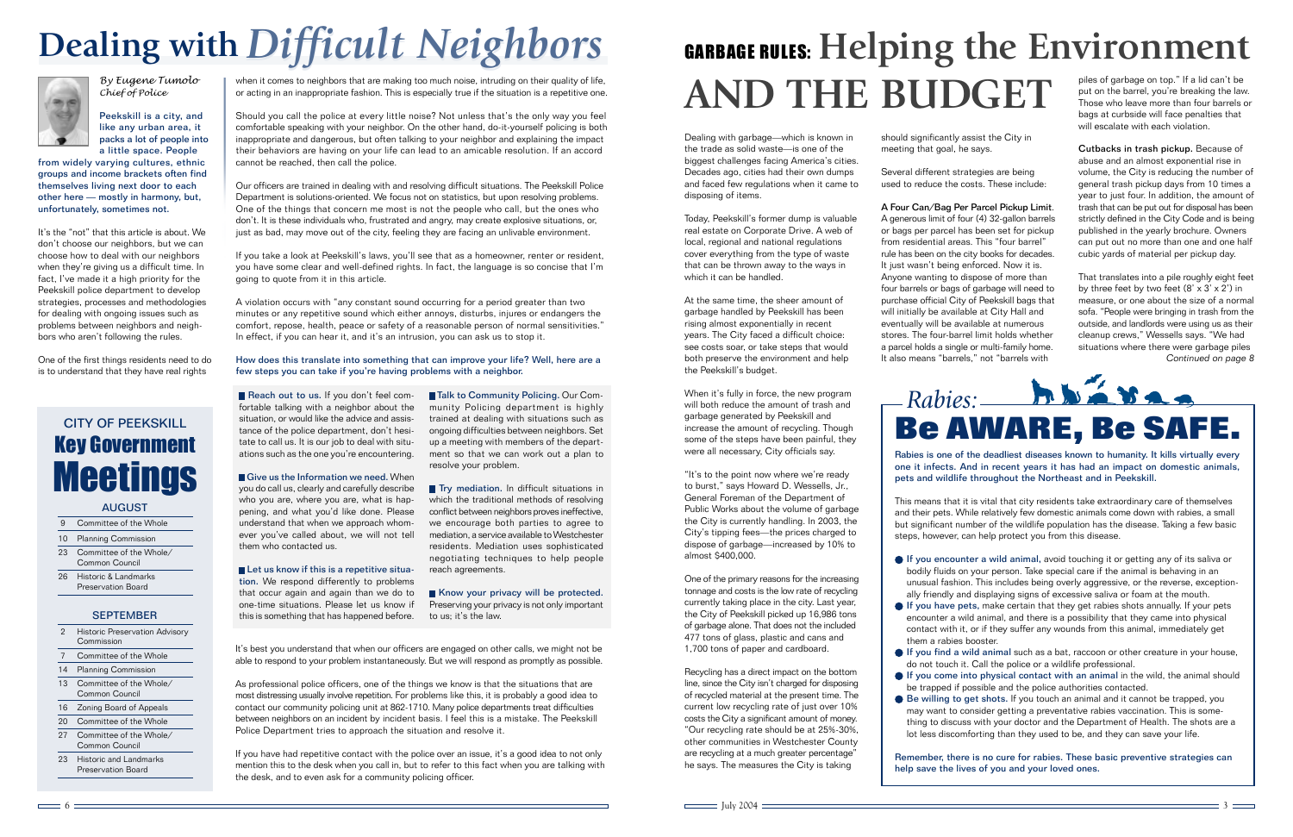### GARBAGE RULES: **Helping the Environment AND THE BUDGET** piles of garbage on top." If a lid can't be put on the barrel, you're breaking the law.

Dealing with garbage—which is known in the trade as solid waste—is one of the biggest challenges facing America's cities. Decades ago, cities had their own dumps and faced few regulations when it came to disposing of items.

Today, Peekskill's former dump is valuable real estate on Corporate Drive. A web of local, regional and national regulations cover everything from the type of waste that can be thrown away to the ways in which it can be handled.

At the same time, the sheer amount of garbage handled by Peekskill has been rising almost exponentially in recent years. The City faced a difficult choice: see costs soar, or take steps that would both preserve the environment and help the Peekskill's budget.

When it's fully in force, the new program will both reduce the amount of trash and garbage generated by Peekskill and increase the amount of recycling. Though some of the steps have been painful, they were all necessary, City officials say.

"It's to the point now where we're ready to burst," says Howard D. Wessells, Jr., General Foreman of the Department of Public Works about the volume of garbage the City is currently handling. In 2003, the City's tipping fees—the prices charged to dispose of garbage—increased by 10% to almost \$400,000.

One of the primary reasons for the increasing tonnage and costs is the low rate of recycling currently taking place in the city. Last year, the City of Peekskill picked up 16,986 tons of garbage alone. That does not the included 477 tons of glass, plastic and cans and 1,700 tons of paper and cardboard.

Recycling has a direct impact on the bottom line, since the City isn't charged for disposing of recycled material at the present time. The current low recycling rate of just over 10% costs the City a significant amount of money. "Our recycling rate should be at 25%-30%, other communities in Westchester County are recycling at a much greater percentage" he says. The measures the City is taking

should significantly assist the City in meeting that goal, he says.

Several different strategies are being used to reduce the costs. These include:

A Four Can/Bag Per Parcel Pickup Limit. A generous limit of four (4) 32-gallon barrels or bags per parcel has been set for pickup from residential areas. This "four barrel" rule has been on the city books for decades. It just wasn't being enforced. Now it is. Anyone wanting to dispose of more than four barrels or bags of garbage will need to purchase official City of Peekskill bags that will initially be available at City Hall and eventually will be available at numerous stores. The four-barrel limit holds whether a parcel holds a single or multi-family home. It also means "barrels," not "barrels with

Those who leave more than four barrels or bags at curbside will face penalties that will escalate with each violation.

Cutbacks in trash pickup. Because of abuse and an almost exponential rise in volume, the City is reducing the number of general trash pickup days from 10 times a year to just four. In addition, the amount of trash that can be put out for disposal has been strictly defined in the City Code and is being published in the yearly brochure. Owners can put out no more than one and one half cubic yards of material per pickup day.

That translates into a pile roughly eight feet by three feet by two feet  $(8' \times 3' \times 2')$  in measure, or one about the size of a normal sofa. "People were bringing in trash from the outside, and landlords were using us as their cleanup crews," Wessells says. "We had situations where there were garbage piles *Continued on page 8*



Rabies is one of the deadliest diseases known to humanity. It kills virtually every one it infects. And in recent years it has had an impact on domestic animals, pets and wildlife throughout the Northeast and in Peekskill.

This means that it is vital that city residents take extraordinary care of themselves and their pets. While relatively few domestic animals come down with rabies, a small but significant number of the wildlife population has the disease. Taking a few basic steps, however, can help protect you from this disease.

- If you encounter a wild animal, avoid touching it or getting any of its saliva or bodily fluids on your person. Take special care if the animal is behaving in an unusual fashion. This includes being overly aggressive, or the reverse, exceptionally friendly and displaying signs of excessive saliva or foam at the mouth.
- If you have pets, make certain that they get rabies shots annually. If your pets encounter a wild animal, and there is a possibility that they came into physical contact with it, or if they suffer any wounds from this animal, immediately get them a rabies booster.
- If you find a wild animal such as a bat, raccoon or other creature in your house, do not touch it. Call the police or a wildlife professional.
- If you come into physical contact with an animal in the wild, the animal should be trapped if possible and the police authorities contacted.
- Be willing to get shots. If you touch an animal and it cannot be trapped, you may want to consider getting a preventative rabies vaccination. This is something to discuss with your doctor and the Department of Health. The shots are a lot less discomforting than they used to be, and they can save your life.

Remember, there is no cure for rabies. These basic preventive strategies can help save the lives of you and your loved ones.